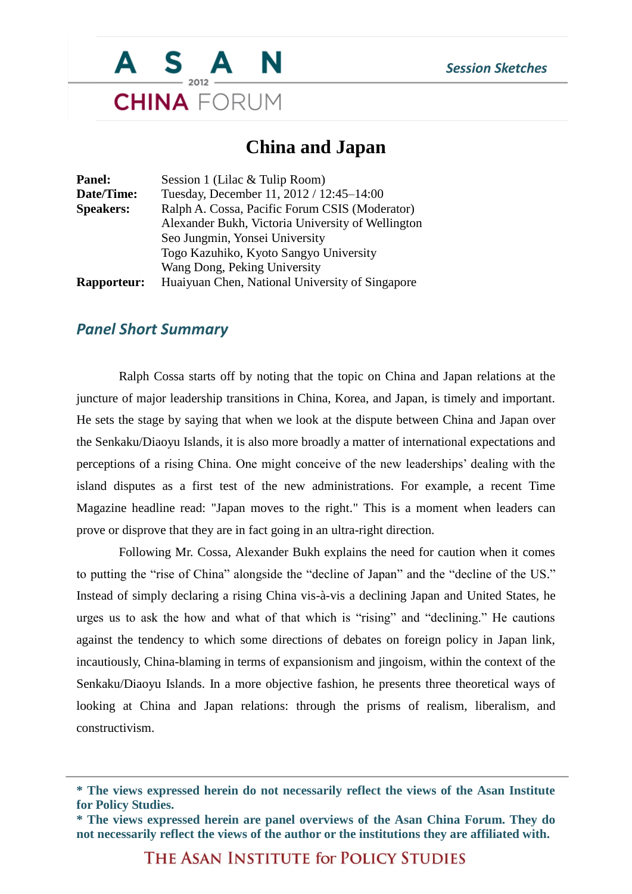

## **China and Japan**

| <b>Panel:</b>      | Session 1 (Lilac & Tulip Room)                    |
|--------------------|---------------------------------------------------|
| Date/Time:         | Tuesday, December 11, 2012 / 12:45-14:00          |
| <b>Speakers:</b>   | Ralph A. Cossa, Pacific Forum CSIS (Moderator)    |
|                    | Alexander Bukh, Victoria University of Wellington |
|                    | Seo Jungmin, Yonsei University                    |
|                    | Togo Kazuhiko, Kyoto Sangyo University            |
|                    | Wang Dong, Peking University                      |
| <b>Rapporteur:</b> | Huaiyuan Chen, National University of Singapore   |

## *Panel Short Summary*

Ralph Cossa starts off by noting that the topic on China and Japan relations at the juncture of major leadership transitions in China, Korea, and Japan, is timely and important. He sets the stage by saying that when we look at the dispute between China and Japan over the Senkaku/Diaoyu Islands, it is also more broadly a matter of international expectations and perceptions of a rising China. One might conceive of the new leaderships' dealing with the island disputes as a first test of the new administrations. For example, a recent Time Magazine headline read: "Japan moves to the right." This is a moment when leaders can prove or disprove that they are in fact going in an ultra-right direction.

Following Mr. Cossa, Alexander Bukh explains the need for caution when it comes to putting the "rise of China" alongside the "decline of Japan" and the "decline of the US." Instead of simply declaring a rising China vis-à-vis a declining Japan and United States, he urges us to ask the how and what of that which is "rising" and "declining." He cautions against the tendency to which some directions of debates on foreign policy in Japan link, incautiously, China-blaming in terms of expansionism and jingoism, within the context of the Senkaku/Diaoyu Islands. In a more objective fashion, he presents three theoretical ways of looking at China and Japan relations: through the prisms of realism, liberalism, and constructivism.

THE ASAN INSTITUTE for POLICY STUDIES

**<sup>\*</sup> The views expressed herein do not necessarily reflect the views of the Asan Institute for Policy Studies.**

**<sup>\*</sup> The views expressed herein are panel overviews of the Asan China Forum. They do not necessarily reflect the views of the author or the institutions they are affiliated with.**